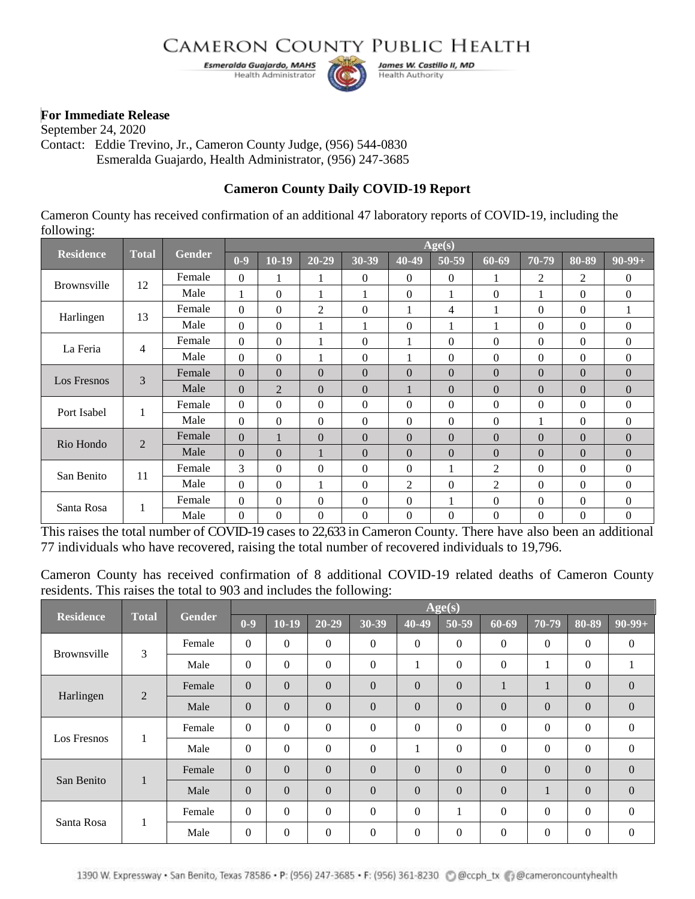## **CAMERON COUNTY PUBLIC HEALTH**

Esmeralda Guajardo, MAHS Health Administrator



James W. Castillo II, MD **Health Authority** 

## **For Immediate Release**

September 24, 2020 Contact: Eddie Trevino, Jr., Cameron County Judge, (956) 544-0830 Esmeralda Guajardo, Health Administrator, (956) 247-3685

## **Cameron County Daily COVID-19 Report**

Cameron County has received confirmation of an additional 47 laboratory reports of COVID-19, including the following:

| <b>Residence</b> | <b>Total</b>   | <b>Gender</b> | Age(s)           |                |                  |              |                |                  |                  |                |                  |                  |  |
|------------------|----------------|---------------|------------------|----------------|------------------|--------------|----------------|------------------|------------------|----------------|------------------|------------------|--|
|                  |                |               | $0-9$            | $10-19$        | $20 - 29$        | 30-39        | 40-49          | 50-59            | 60-69            | 70-79          | 80-89            | $90-99+$         |  |
| Brownsville      | 12             | Female        | $\theta$         |                |                  | $\Omega$     | $\Omega$       | $\Omega$         | $\mathbf{1}$     | $\overline{2}$ | $\overline{2}$   | $\theta$         |  |
|                  |                | Male          | 1                | 0              |                  | $\mathbf{1}$ | $\theta$       |                  | $\theta$         |                | $\Omega$         | $\boldsymbol{0}$ |  |
| Harlingen        | 13             | Female        | $\mathbf{0}$     | 0              | $\overline{2}$   | $\Omega$     |                | 4                |                  | $\Omega$       | $\overline{0}$   | 1                |  |
|                  |                | Male          | $\Omega$         | $\Omega$       |                  | 1            | $\theta$       |                  |                  | $\Omega$       | $\theta$         | $\Omega$         |  |
| La Feria         | $\overline{4}$ | Female        | $\mathbf{0}$     | $\overline{0}$ |                  | $\mathbf{0}$ |                | $\overline{0}$   | $\theta$         | $\mathbf{0}$   | $\mathbf{0}$     | $\boldsymbol{0}$ |  |
|                  |                | Male          | $\boldsymbol{0}$ | $\Omega$       | -1               | $\mathbf{0}$ |                | $\mathbf{0}$     | $\theta$         | $\theta$       | $\mathbf{0}$     | $\boldsymbol{0}$ |  |
| Los Fresnos      | 3              | Female        | $\boldsymbol{0}$ | $\overline{0}$ | $\mathbf{0}$     | $\mathbf{0}$ | $\Omega$       | $\boldsymbol{0}$ | $\mathbf{0}$     | $\Omega$       | $\boldsymbol{0}$ | $\boldsymbol{0}$ |  |
|                  |                | Male          | $\Omega$         | $\overline{2}$ | $\theta$         | $\Omega$     |                | $\theta$         | $\theta$         | $\Omega$       | $\theta$         | $\boldsymbol{0}$ |  |
| Port Isabel      | $\mathbf{1}$   | Female        | $\Omega$         | $\Omega$       | $\theta$         | $\Omega$     | $\Omega$       | $\Omega$         | $\theta$         | $\Omega$       | $\Omega$         | $\boldsymbol{0}$ |  |
|                  |                | Male          | $\Omega$         | $\theta$       | $\boldsymbol{0}$ | $\Omega$     | $\theta$       | $\Omega$         | $\Omega$         |                | $\Omega$         | $\boldsymbol{0}$ |  |
| Rio Hondo        | $\overline{2}$ | Female        | $\Omega$         |                | $\Omega$         | $\Omega$     | $\Omega$       | $\Omega$         | $\Omega$         | $\Omega$       | $\Omega$         | $\Omega$         |  |
|                  |                | Male          | $\Omega$         | $\theta$       |                  | $\Omega$     | $\Omega$       | $\Omega$         | $\Omega$         | $\Omega$       | $\Omega$         | $\theta$         |  |
| San Benito       | 11             | Female        | 3                | $\theta$       | $\overline{0}$   | $\Omega$     | $\theta$       |                  | $\overline{2}$   | $\Omega$       | $\overline{0}$   | $\boldsymbol{0}$ |  |
|                  |                | Male          | $\Omega$         | $\Omega$       |                  | $\theta$     | $\overline{2}$ | $\boldsymbol{0}$ | $\overline{2}$   | $\Omega$       | $\overline{0}$   | $\boldsymbol{0}$ |  |
| Santa Rosa       | 1              | Female        | $\boldsymbol{0}$ | $\Omega$       | $\overline{0}$   | $\Omega$     | $\theta$       |                  | $\boldsymbol{0}$ | $\theta$       | $\boldsymbol{0}$ | $\boldsymbol{0}$ |  |
|                  |                | Male          | $\mathbf{0}$     | $\overline{0}$ | $\boldsymbol{0}$ | $\theta$     | $\theta$       | $\theta$         | $\mathbf{0}$     | $\Omega$       | $\theta$         | $\boldsymbol{0}$ |  |

This raises the total number of COVID-19 cases to 22,633 in Cameron County. There have also been an additional 77 individuals who have recovered, raising the total number of recovered individuals to 19,796.

Cameron County has received confirmation of 8 additional COVID-19 related deaths of Cameron County residents. This raises the total to 903 and includes the following:

| <b>Residence</b> | <b>Total</b> | <b>Gender</b> | Age(s)       |              |           |                |              |          |                |                  |              |                  |
|------------------|--------------|---------------|--------------|--------------|-----------|----------------|--------------|----------|----------------|------------------|--------------|------------------|
|                  |              |               | $0-9$        | $10-19$      | $20 - 29$ | 30-39          | 40-49        | 50-59    | $60 - 69$      | 70-79            | 80-89        | $90-99+$         |
| Brownsville      | 3            | Female        | $\Omega$     | $\theta$     | $\Omega$  | $\overline{0}$ | $\mathbf{0}$ | $\Omega$ | $\mathbf{0}$   | $\overline{0}$   | $\mathbf{0}$ | $\boldsymbol{0}$ |
|                  |              | Male          | $\Omega$     | $\theta$     | $\theta$  | $\overline{0}$ |              | $\theta$ | $\overline{0}$ |                  | $\mathbf{0}$ | 1                |
| Harlingen        | 2            | Female        | $\Omega$     | $\mathbf{0}$ | $\Omega$  | $\overline{0}$ | $\Omega$     | $\Omega$ | $\mathbf{I}$   | п                | $\theta$     | $\mathbf{0}$     |
|                  |              | Male          | $\Omega$     | $\Omega$     | $\theta$  | $\overline{0}$ | $\Omega$     | $\Omega$ | $\Omega$       | $\Omega$         | $\Omega$     | $\mathbf{0}$     |
| Los Fresnos      | 1            | Female        | $\mathbf{0}$ | $\theta$     | $\Omega$  | $\overline{0}$ | $\Omega$     | $\Omega$ | $\mathbf{0}$   | $\boldsymbol{0}$ | $\Omega$     | $\boldsymbol{0}$ |
|                  |              | Male          | $\Omega$     | $\Omega$     | $\theta$  | $\overline{0}$ |              | $\theta$ | $\mathbf{0}$   | $\overline{0}$   | $\Omega$     | $\boldsymbol{0}$ |
| San Benito       | 1            | Female        | $\Omega$     | $\Omega$     | $\Omega$  | $\overline{0}$ | $\Omega$     | $\Omega$ | $\Omega$       | $\theta$         | $\Omega$     | $\mathbf{0}$     |
|                  |              | Male          | $\Omega$     | $\Omega$     | $\theta$  | $\overline{0}$ | $\Omega$     | $\Omega$ | $\mathbf{0}$   |                  | $\Omega$     | $\mathbf{0}$     |
| Santa Rosa       | 1            | Female        | $\Omega$     | $\theta$     | $\Omega$  | $\overline{0}$ | $\mathbf{0}$ |          | $\mathbf{0}$   | $\boldsymbol{0}$ | $\mathbf{0}$ | $\boldsymbol{0}$ |
|                  |              | Male          | $\Omega$     | $\theta$     | $\theta$  | $\overline{0}$ | $\mathbf{0}$ | $\theta$ | $\overline{0}$ | $\overline{0}$   | $\Omega$     | $\overline{0}$   |